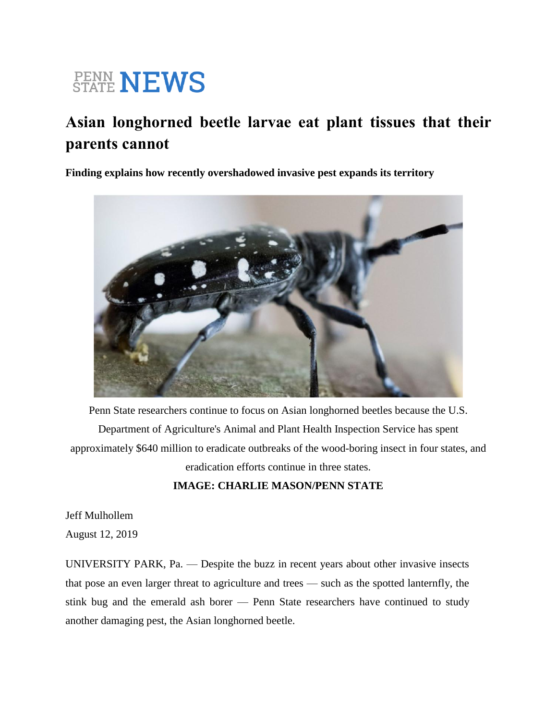# **PENN NEWS**

## **Asian longhorned beetle larvae eat plant tissues that their parents cannot**

**Finding explains how recently overshadowed invasive pest expands its territory**



Penn State researchers continue to focus on Asian longhorned beetles because the U.S. Department of Agriculture's Animal and Plant Health Inspection Service has spent approximately \$640 million to eradicate outbreaks of the wood-boring insect in four states, and eradication efforts continue in three states.

### **IMAGE: CHARLIE MASON/PENN STATE**

Jeff Mulhollem

August 12, 2019

UNIVERSITY PARK, Pa. — Despite the buzz in recent years about other invasive insects that pose an even larger threat to agriculture and trees — such as the spotted lanternfly, the stink bug and the emerald ash borer — Penn State researchers have continued to study another damaging pest, the Asian longhorned beetle.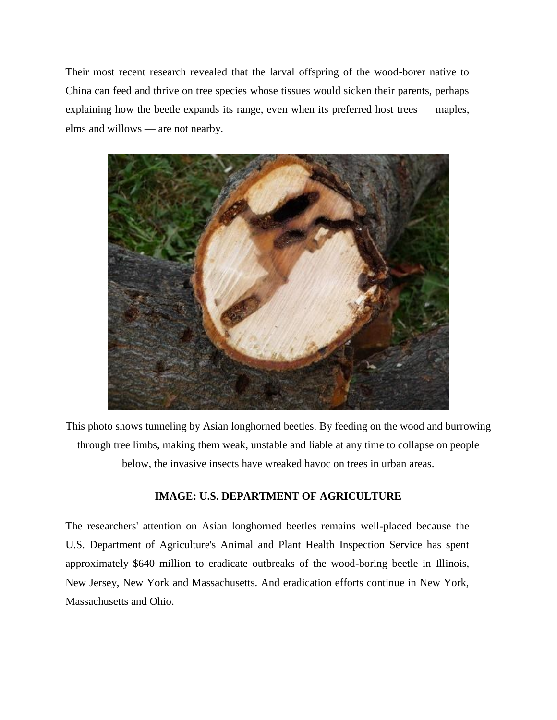Their most recent research revealed that the larval offspring of the wood-borer native to China can feed and thrive on tree species whose tissues would sicken their parents, perhaps explaining how the beetle expands its range, even when its preferred host trees — maples, elms and willows — are not nearby.



This photo shows tunneling by Asian longhorned beetles. By feeding on the wood and burrowing through tree limbs, making them weak, unstable and liable at any time to collapse on people below, the invasive insects have wreaked havoc on trees in urban areas.

#### **IMAGE: U.S. DEPARTMENT OF AGRICULTURE**

The researchers' attention on Asian longhorned beetles remains well-placed because the U.S. Department of Agriculture's Animal and Plant Health Inspection Service has spent approximately \$640 million to eradicate outbreaks of the wood-boring beetle in Illinois, New Jersey, New York and Massachusetts. And eradication efforts continue in New York, Massachusetts and Ohio.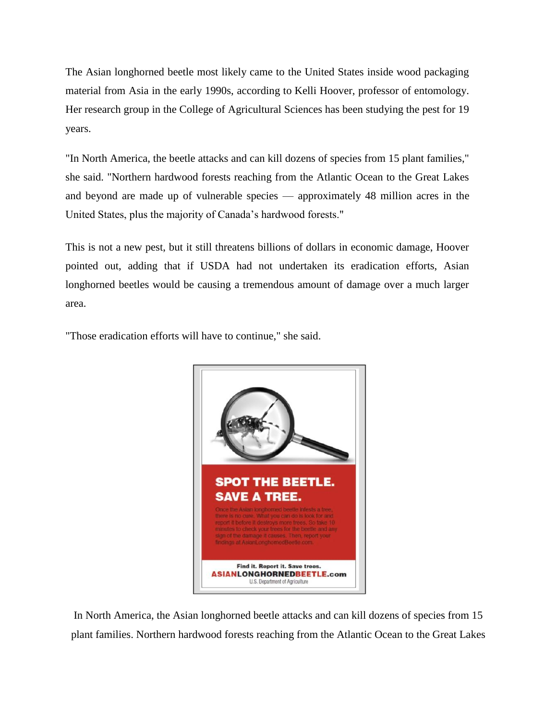The Asian longhorned beetle most likely came to the United States inside wood packaging material from Asia in the early 1990s, according to Kelli Hoover, professor of entomology. Her research group in the College of Agricultural Sciences has been studying the pest for 19 years.

"In North America, the beetle attacks and can kill dozens of species from 15 plant families," she said. "Northern hardwood forests reaching from the Atlantic Ocean to the Great Lakes and beyond are made up of vulnerable species — approximately 48 million acres in the United States, plus the majority of Canada's hardwood forests."

This is not a new pest, but it still threatens billions of dollars in economic damage, Hoover pointed out, adding that if USDA had not undertaken its eradication efforts, Asian longhorned beetles would be causing a tremendous amount of damage over a much larger area.

"Those eradication efforts will have to continue," she said.



In North America, the Asian longhorned beetle attacks and can kill dozens of species from 15 plant families. Northern hardwood forests reaching from the Atlantic Ocean to the Great Lakes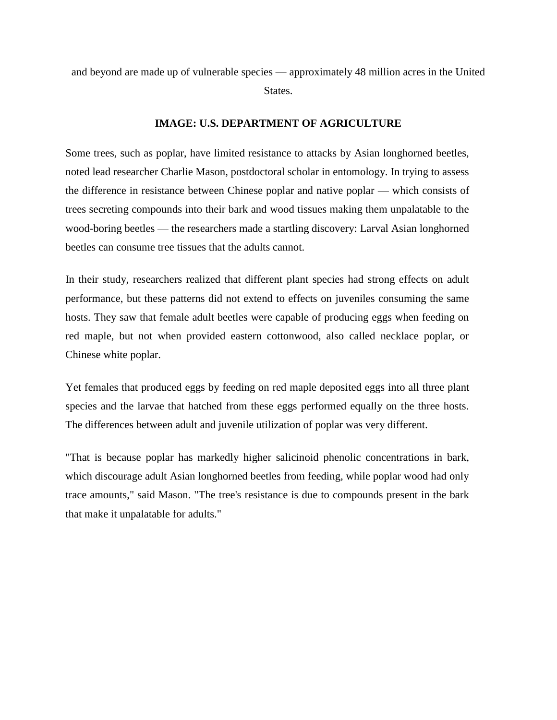and beyond are made up of vulnerable species — approximately 48 million acres in the United States.

#### **IMAGE: U.S. DEPARTMENT OF AGRICULTURE**

Some trees, such as poplar, have limited resistance to attacks by Asian longhorned beetles, noted lead researcher Charlie Mason, postdoctoral scholar in entomology. In trying to assess the difference in resistance between Chinese poplar and native poplar — which consists of trees secreting compounds into their bark and wood tissues making them unpalatable to the wood-boring beetles — the researchers made a startling discovery: Larval Asian longhorned beetles can consume tree tissues that the adults cannot.

In their study, researchers realized that different plant species had strong effects on adult performance, but these patterns did not extend to effects on juveniles consuming the same hosts. They saw that female adult beetles were capable of producing eggs when feeding on red maple, but not when provided eastern cottonwood, also called necklace poplar, or Chinese white poplar.

Yet females that produced eggs by feeding on red maple deposited eggs into all three plant species and the larvae that hatched from these eggs performed equally on the three hosts. The differences between adult and juvenile utilization of poplar was very different.

"That is because poplar has markedly higher salicinoid phenolic concentrations in bark, which discourage adult Asian longhorned beetles from feeding, while poplar wood had only trace amounts," said Mason. "The tree's resistance is due to compounds present in the bark that make it unpalatable for adults."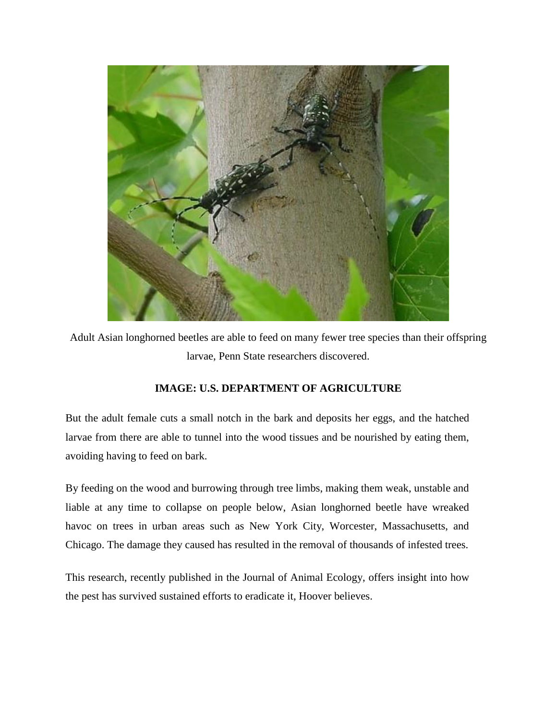

Adult Asian longhorned beetles are able to feed on many fewer tree species than their offspring larvae, Penn State researchers discovered.

#### **IMAGE: U.S. DEPARTMENT OF AGRICULTURE**

But the adult female cuts a small notch in the bark and deposits her eggs, and the hatched larvae from there are able to tunnel into the wood tissues and be nourished by eating them, avoiding having to feed on bark.

By feeding on the wood and burrowing through tree limbs, making them weak, unstable and liable at any time to collapse on people below, Asian longhorned beetle have wreaked havoc on trees in urban areas such as New York City, Worcester, Massachusetts, and Chicago. The damage they caused has resulted in the removal of thousands of infested trees.

This research, recently published in the Journal of Animal Ecology, offers insight into how the pest has survived sustained efforts to eradicate it, Hoover believes.